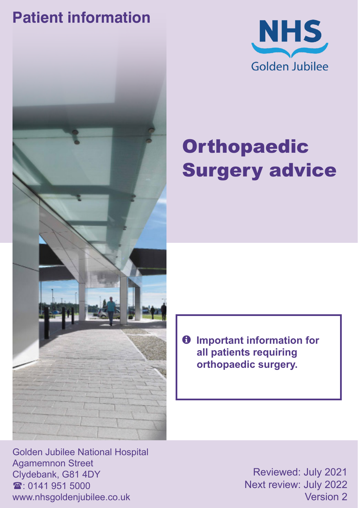### **Patient information**





# **Orthopaedic** Surgery advice

 $\theta$  Important information for **all patients requiring orthopaedic surgery.**

Golden Jubilee National Hospital Agamemnon Street Clydebank, G81 4DY  $\mathbf{\hat{x}}$  0141 951 5000 www.nhsgoldenjubilee.co.uk

Reviewed: July 2021 Next review: July 2022 Version 2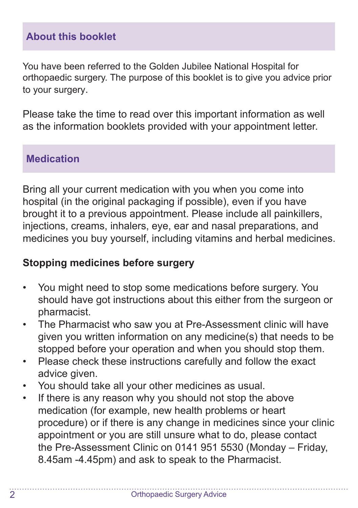#### **About this booklet**

You have been referred to the Golden Jubilee National Hospital for orthopaedic surgery. The purpose of this booklet is to give you advice prior to your surgery.

Please take the time to read over this important information as well as the information booklets provided with your appointment letter.

#### **Medication**

Bring all your current medication with you when you come into hospital (in the original packaging if possible), even if you have brought it to a previous appointment. Please include all painkillers, injections, creams, inhalers, eye, ear and nasal preparations, and medicines you buy yourself, including vitamins and herbal medicines.

#### **Stopping medicines before surgery**

- You might need to stop some medications before surgery. You should have got instructions about this either from the surgeon or pharmacist.
- The Pharmacist who saw you at Pre-Assessment clinic will have given you written information on any medicine(s) that needs to be stopped before your operation and when you should stop them.
- Please check these instructions carefully and follow the exact advice given.
- You should take all your other medicines as usual.
- If there is any reason why you should not stop the above medication (for example, new health problems or heart procedure) or if there is any change in medicines since your clinic appointment or you are still unsure what to do, please contact the Pre-Assessment Clinic on 0141 951 5530 (Monday – Friday, 8.45am -4.45pm) and ask to speak to the Pharmacist.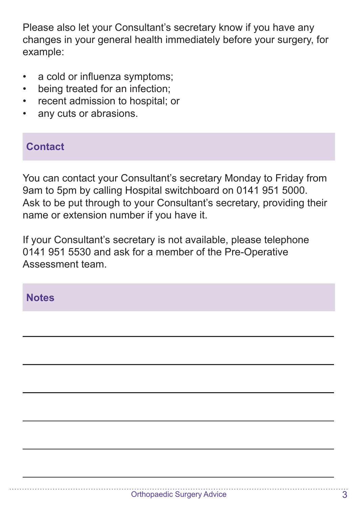Please also let your Consultant's secretary know if you have any changes in your general health immediately before your surgery, for example:

- a cold or influenza symptoms;
- being treated for an infection:
- recent admission to hospital; or
- any cuts or abrasions.

#### **Contact**

You can contact your Consultant's secretary Monday to Friday from 9am to 5pm by calling Hospital switchboard on 0141 951 5000. Ask to be put through to your Consultant's secretary, providing their name or extension number if you have it.

If your Consultant's secretary is not available, please telephone 0141 951 5530 and ask for a member of the Pre-Operative Assessment team.

#### **Notes**